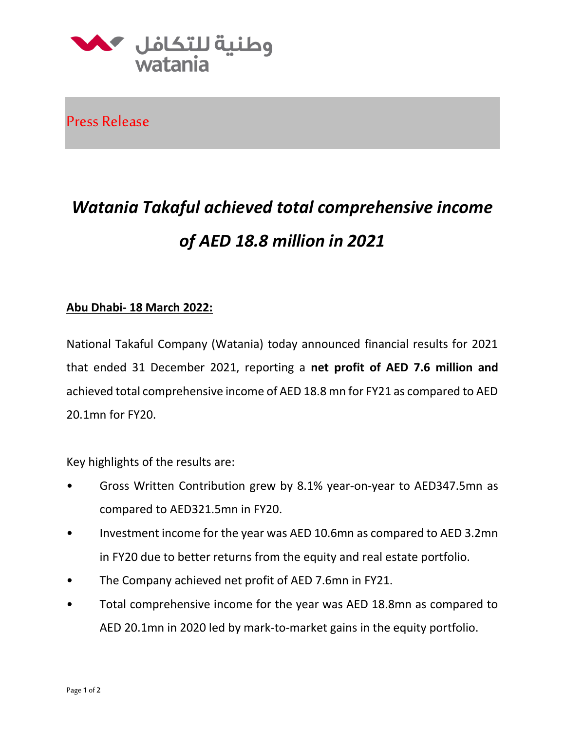

Press Release

## *Watania Takaful achieved total comprehensive income of AED 18.8 million in 2021*

## **Abu Dhabi- 18 March 2022:**

National Takaful Company (Watania) today announced financial results for 2021 that ended 31 December 2021, reporting a **net profit of AED 7.6 million and**  achieved total comprehensive income of AED 18.8 mn for FY21 as compared to AED 20.1mn for FY20.

Key highlights of the results are:

- Gross Written Contribution grew by 8.1% year-on-year to AED347.5mn as compared to AED321.5mn in FY20.
- Investment income for the year was AED 10.6mn as compared to AED 3.2mn in FY20 due to better returns from the equity and real estate portfolio.
- The Company achieved net profit of AED 7.6mn in FY21.
- Total comprehensive income for the year was AED 18.8mn as compared to AED 20.1mn in 2020 led by mark-to-market gains in the equity portfolio.